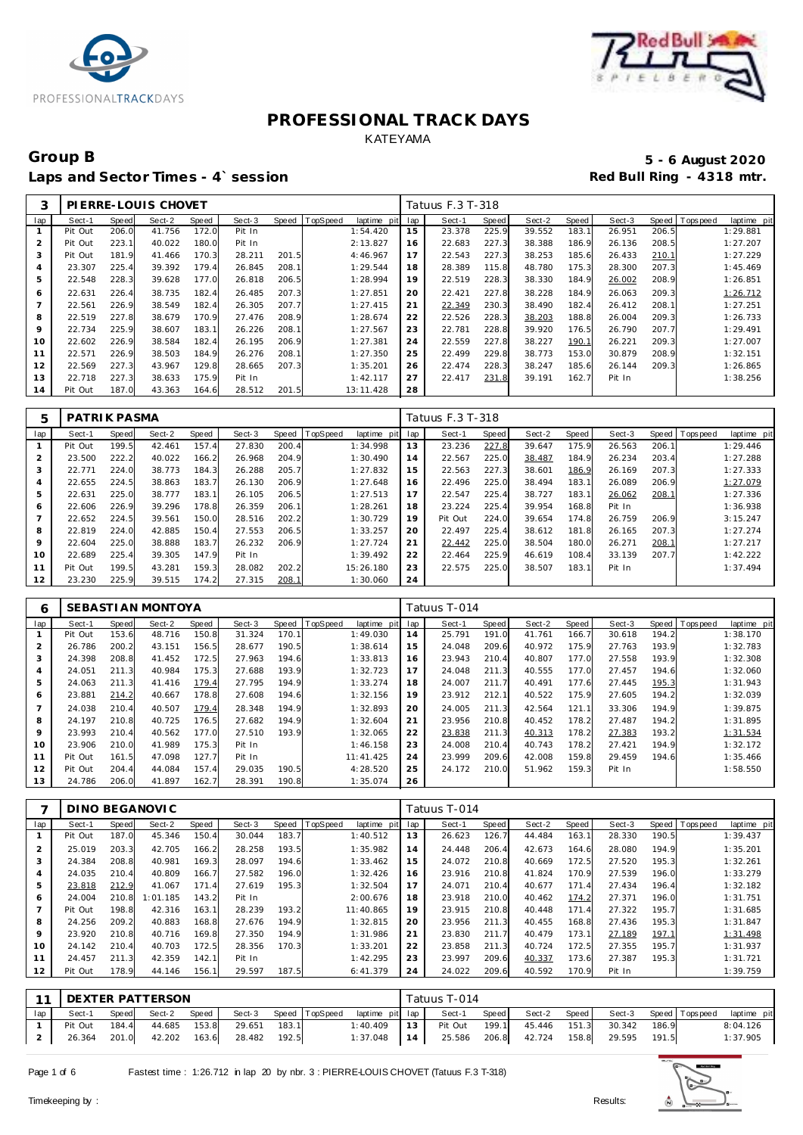



### Group B<br> **Example 2020**<br>
Laps and Sector Times - 4`session<br> **5 - 6 August 2020**<br>
Red Bull Ring - 4318 mtr. Laps and Sector Times - 4`session

| 3              |         |       | PIERRE-LOUIS CHOVET |       |        |       |          |             |     | Tatuus F.3 T-318 |       |        |       |        |       |                   |             |
|----------------|---------|-------|---------------------|-------|--------|-------|----------|-------------|-----|------------------|-------|--------|-------|--------|-------|-------------------|-------------|
| lap            | Sect-1  | Speed | Sect-2              | Speed | Sect-3 | Speed | TopSpeed | laptime pit | lap | Sect-1           | Speed | Sect-2 | Speed | Sect-3 |       | Speed   Tops peed | laptime pit |
|                | Pit Out | 206.0 | 41.756              | 172.0 | Pit In |       |          | 1:54.420    | 15  | 23.378           | 225.9 | 39.552 | 183.1 | 26.951 | 206.5 |                   | 1:29.881    |
| $\overline{2}$ | Pit Out | 223.1 | 40.022              | 180.0 | Pit In |       |          | 2:13.827    | 16  | 22.683           | 227.3 | 38.388 | 186.9 | 26.136 | 208.5 |                   | 1:27.207    |
| 3              | Pit Out | 181.9 | 41.466              | 170.3 | 28.211 | 201.5 |          | 4:46.967    | 17  | 22.543           | 227.3 | 38.253 | 185.6 | 26.433 | 210.1 |                   | 1:27.229    |
| 4              | 23.307  | 225.4 | 39.392              | 179.4 | 26.845 | 208.1 |          | 1:29.544    | 18  | 28.389           | 115.8 | 48.780 | 175.3 | 28.300 | 207.3 |                   | 1:45.469    |
| 5              | 22.548  | 228.3 | 39.628              | 177.0 | 26.818 | 206.5 |          | 1:28.994    | 19  | 22.519           | 228.3 | 38.330 | 184.9 | 26.002 | 208.9 |                   | 1:26.851    |
| 6              | 22.631  | 226.4 | 38.735              | 182.4 | 26.485 | 207.3 |          | 1:27.851    | 20  | 22.421           | 227.8 | 38.228 | 184.9 | 26.063 | 209.3 |                   | 1:26.712    |
|                | 22.561  | 226.9 | 38.549              | 182.4 | 26.305 | 207.7 |          | 1:27.415    | 21  | 22.349           | 230.3 | 38.490 | 182.4 | 26.412 | 208.1 |                   | 1:27.251    |
| 8              | 22.519  | 227.8 | 38.679              | 170.9 | 27.476 | 208.9 |          | 1:28.674    | 22  | 22.526           | 228.3 | 38.203 | 188.8 | 26.004 | 209.3 |                   | 1:26.733    |
| 9              | 22.734  | 225.9 | 38.607              | 183.1 | 26.226 | 208.1 |          | 1:27.567    | 23  | 22.781           | 228.8 | 39.920 | 176.5 | 26.790 | 207.7 |                   | 1:29.491    |
| 10             | 22.602  | 226.9 | 38.584              | 182.4 | 26.195 | 206.9 |          | 1:27.381    | 24  | 22.559           | 227.8 | 38.227 | 190.1 | 26.221 | 209.3 |                   | 1:27.007    |
| 11             | 22.571  | 226.9 | 38.503              | 184.9 | 26.276 | 208.1 |          | 1:27.350    | 25  | 22.499           | 229.8 | 38.773 | 153.0 | 30.879 | 208.9 |                   | 1:32.151    |
| 12             | 22.569  | 227.3 | 43.967              | 129.8 | 28.665 | 207.3 |          | 1:35.201    | 26  | 22.474           | 228.3 | 38.247 | 185.6 | 26.144 | 209.3 |                   | 1:26.865    |
| 13             | 22.718  | 227.3 | 38.633              | 175.9 | Pit In |       |          | 1:42.117    | 27  | 22.417           | 231.8 | 39.191 | 162.7 | Pit In |       |                   | 1:38.256    |
| 14             | Pit Out | 187.0 | 43.363              | 164.6 | 28.512 | 201.5 |          | 13:11.428   | 28  |                  |       |        |       |        |       |                   |             |

| 5       | PATRIK PASMA |       |        |       |        |       |          |             |     | Tatuus F.3 T-318 |       |        |       |        |       |             |             |
|---------|--------------|-------|--------|-------|--------|-------|----------|-------------|-----|------------------|-------|--------|-------|--------|-------|-------------|-------------|
| lap     | Sect-1       | Speed | Sect-2 | Speed | Sect-3 | Speed | TopSpeed | laptime pit | lap | Sect-1           | Speed | Sect-2 | Speed | Sect-3 | Speed | T ops pee d | laptime pit |
|         | Pit Out      | 199.5 | 42.461 | 157.4 | 27.830 | 200.4 |          | 1:34.998    | 13  | 23.236           | 227.8 | 39.647 | 175.9 | 26.563 | 206.1 |             | 1:29.446    |
|         | 23.500       | 222.2 | 40.022 | 166.2 | 26.968 | 204.9 |          | 1:30.490    | 14  | 22.567           | 225.0 | 38.487 | 184.9 | 26.234 | 203.4 |             | 1:27.288    |
| 3       | 22.771       | 224.0 | 38.773 | 184.3 | 26.288 | 205.7 |          | 1:27.832    | 15  | 22.563           | 227.3 | 38.601 | 186.9 | 26.169 | 207.3 |             | 1:27.333    |
| 4       | 22.655       | 224.5 | 38.863 | 183.7 | 26.130 | 206.9 |          | 1:27.648    | 16  | 22.496           | 225.0 | 38.494 | 183.1 | 26.089 | 206.9 |             | 1:27.079    |
| 5       | 22.631       | 225.0 | 38.777 | 183.1 | 26.105 | 206.5 |          | 1:27.513    | 17  | 22.547           | 225.4 | 38.727 | 183.1 | 26.062 | 208.1 |             | 1:27.336    |
| 6       | 22.606       | 226.9 | 39.296 | 178.8 | 26.359 | 206.1 |          | 1:28.261    | 18  | 23.224           | 225.4 | 39.954 | 168.8 | Pit In |       |             | 1:36.938    |
|         | 22.652       | 224.5 | 39.561 | 150.0 | 28.516 | 202.2 |          | 1:30.729    | 19  | Pit Out          | 224.0 | 39.654 | 174.8 | 26.759 | 206.9 |             | 3:15.247    |
| 8       | 22.819       | 224.0 | 42.885 | 150.4 | 27.553 | 206.5 |          | 1:33.257    | 20  | 22.497           | 225.4 | 38.612 | 181.8 | 26.165 | 207.3 |             | 1:27.274    |
| $\circ$ | 22.604       | 225.0 | 38.888 | 183.7 | 26.232 | 206.9 |          | 1:27.724    | 21  | 22.442           | 225.0 | 38.504 | 180.0 | 26.271 | 208.1 |             | 1:27.217    |
| 10      | 22.689       | 225.4 | 39.305 | 147.9 | Pit In |       |          | 1:39.492    | 22  | 22.464           | 225.9 | 46.619 | 108.4 | 33.139 | 207.7 |             | 1:42.222    |
| 11      | Pit Out      | 199.5 | 43.281 | 159.3 | 28.082 | 202.2 |          | 15:26.180   | 23  | 22.575           | 225.0 | 38.507 | 183.1 | Pit In |       |             | 1:37.494    |
| 12      | 23.230       | 225.9 | 39.515 | 174.2 | 27.315 | 208.1 |          | 1:30.060    | 24  |                  |       |        |       |        |       |             |             |

| 6              |         |       | SEBASTI AN MONTOYA |       |        |       |          |             |     | Tatuus T-014 |       |        |       |        |       |                |             |
|----------------|---------|-------|--------------------|-------|--------|-------|----------|-------------|-----|--------------|-------|--------|-------|--------|-------|----------------|-------------|
| lap            | Sect-1  | Speed | Sect-2             | Speed | Sect-3 | Speed | TopSpeed | laptime pit | lap | Sect-1       | Speed | Sect-2 | Speed | Sect-3 |       | Speed Topspeed | laptime pit |
|                | Pit Out | 153.6 | 48.716             | 150.8 | 31.324 | 170.7 |          | 1:49.030    | 14  | 25.791       | 191.0 | 41.761 | 166.7 | 30.618 | 194.2 |                | 1:38.170    |
| $\overline{2}$ | 26.786  | 200.2 | 43.151             | 156.5 | 28.677 | 190.5 |          | 1:38.614    | 15  | 24.048       | 209.6 | 40.972 | 175.9 | 27.763 | 193.9 |                | 1:32.783    |
| 3              | 24.398  | 208.8 | 41.452             | 172.5 | 27.963 | 194.6 |          | 1:33.813    | 16  | 23.943       | 210.4 | 40.807 | 177.0 | 27.558 | 193.9 |                | 1:32.308    |
| 4              | 24.051  | 211.3 | 40.984             | 175.3 | 27.688 | 193.9 |          | 1:32.723    | 17  | 24.048       | 211.3 | 40.555 | 177.0 | 27.457 | 194.6 |                | 1:32.060    |
| 5              | 24.063  | 211.3 | 41.416             | 179.4 | 27.795 | 194.9 |          | 1:33.274    | 18  | 24.007       | 211.7 | 40.491 | 177.6 | 27.445 | 195.3 |                | 1:31.943    |
| 6              | 23.881  | 214.2 | 40.667             | 178.8 | 27.608 | 194.6 |          | 1:32.156    | 19  | 23.912       | 212.1 | 40.522 | 175.9 | 27.605 | 194.2 |                | 1:32.039    |
|                | 24.038  | 210.4 | 40.507             | 179.4 | 28.348 | 194.9 |          | 1:32.893    | 20  | 24.005       | 211.3 | 42.564 | 121.1 | 33.306 | 194.9 |                | 1:39.875    |
| 8              | 24.197  | 210.8 | 40.725             | 176.5 | 27.682 | 194.9 |          | 1:32.604    | 21  | 23.956       | 210.8 | 40.452 | 178.2 | 27.487 | 194.2 |                | 1:31.895    |
| 9              | 23.993  | 210.4 | 40.562             | 177.0 | 27.510 | 193.9 |          | 1:32.065    | 22  | 23.838       | 211.3 | 40.313 | 178.2 | 27.383 | 193.2 |                | 1:31.534    |
| 10             | 23.906  | 210.0 | 41.989             | 175.3 | Pit In |       |          | 1:46.158    | 23  | 24.008       | 210.4 | 40.743 | 178.2 | 27.421 | 194.9 |                | 1:32.172    |
| 11             | Pit Out | 161.5 | 47.098             | 127.7 | Pit In |       |          | 11:41.425   | 24  | 23.999       | 209.6 | 42.008 | 159.8 | 29.459 | 194.6 |                | 1:35.466    |
| 12             | Pit Out | 204.4 | 44.084             | 157.4 | 29.035 | 190.5 |          | 4:28.520    | 25  | 24.172       | 210.0 | 51.962 | 159.3 | Pit In |       |                | 1:58.550    |
| 13             | 24.786  | 206.0 | 41.897             | 162.7 | 28.391 | 190.8 |          | 1:35.074    | 26  |              |       |        |       |        |       |                |             |

|                |         |       | DINO BEGANOVIC |       |        |       |          |             |     | Tatuus T-014 |       |        |       |        |       |                |             |
|----------------|---------|-------|----------------|-------|--------|-------|----------|-------------|-----|--------------|-------|--------|-------|--------|-------|----------------|-------------|
| lap            | Sect-1  | Speed | Sect-2         | Speed | Sect-3 | Speed | TopSpeed | laptime pit | lap | Sect-1       | Speed | Sect-2 | Speed | Sect-3 |       | Speed Topspeed | laptime pit |
|                | Pit Out | 187.0 | 45.346         | 150.4 | 30.044 | 183.7 |          | 1:40.512    | 13  | 26.623       | 126.7 | 44.484 | 163.1 | 28.330 | 190.5 |                | 1:39.437    |
| $\overline{2}$ | 25.019  | 203.3 | 42.705         | 166.2 | 28.258 | 193.5 |          | 1:35.982    | 14  | 24.448       | 206.4 | 42.673 | 164.6 | 28.080 | 194.9 |                | 1:35.201    |
| 3              | 24.384  | 208.8 | 40.981         | 169.3 | 28.097 | 194.6 |          | 1:33.462    | 15  | 24.072       | 210.8 | 40.669 | 172.5 | 27.520 | 195.3 |                | 1:32.261    |
| 4              | 24.035  | 210.4 | 40.809         | 166.7 | 27.582 | 196.0 |          | 1:32.426    | 16  | 23.916       | 210.8 | 41.824 | 170.9 | 27.539 | 196.0 |                | 1:33.279    |
| 5              | 23.818  | 212.9 | 41.067         | 171.4 | 27.619 | 195.3 |          | 1:32.504    | 17  | 24.071       | 210.4 | 40.677 | 171.4 | 27.434 | 196.4 |                | 1:32.182    |
| 6              | 24.004  | 210.8 | 1:01.185       | 143.2 | Pit In |       |          | 2:00.676    | 18  | 23.918       | 210.0 | 40.462 | 174.2 | 27.371 | 196.0 |                | 1:31.751    |
|                | Pit Out | 198.8 | 42.316         | 163.1 | 28.239 | 193.2 |          | 11:40.865   | 19  | 23.915       | 210.8 | 40.448 | 171.4 | 27.322 | 195.7 |                | 1:31.685    |
| 8              | 24.256  | 209.2 | 40.883         | 168.8 | 27.676 | 194.9 |          | 1:32.815    | 20  | 23.956       | 211.3 | 40.455 | 168.8 | 27.436 | 195.3 |                | 1:31.847    |
| 9              | 23.920  | 210.8 | 40.716         | 169.8 | 27.350 | 194.9 |          | 1:31.986    | 21  | 23.830       | 211.7 | 40.479 | 173.1 | 27.189 | 197.1 |                | 1:31.498    |
| 10             | 24.142  | 210.4 | 40.703         | 172.5 | 28.356 | 170.3 |          | 1:33.201    | 22  | 23.858       | 211.3 | 40.724 | 172.5 | 27.355 | 195.7 |                | 1:31.937    |
| 11             | 24.457  | 211.3 | 42.359         | 142.1 | Pit In |       |          | 1:42.295    | 23  | 23.997       | 209.6 | 40.337 | 173.6 | 27.387 | 195.3 |                | 1:31.721    |
| 12             | Pit Out | 178.9 | 44.146         | 156.1 | 29.597 | 187.5 |          | 6: 41.379   | 24  | 24.022       | 209.6 | 40.592 | 170.9 | Pit In |       |                | 1:39.759    |

|     | 11 DEXTER PATTERSON |       |              |       |        |       |                       |                 |     | Tatuus T-014 |       |                     |       |                                    |       |             |
|-----|---------------------|-------|--------------|-------|--------|-------|-----------------------|-----------------|-----|--------------|-------|---------------------|-------|------------------------------------|-------|-------------|
| lap | Sect-1              | Speed | Sect-2       | Speed |        |       | Sect-3 Speed TopSpeed | laptime pit lap |     | Sect-1       | Speed |                     |       | Sect-2 Speed Sect-3 Speed Topspeed |       | laptime pit |
|     | Pit Out             | 184.4 | 44.685 153.8 |       | 29.651 | 183.1 |                       | 1:40.409        | 13  | Pit Out      | 199.1 | 45.446 151.3        |       | 30.342                             | 186.9 | 8:04.126    |
|     | 26.364 201.0        |       | 42.202       | 163.6 | 28.482 | 192.5 |                       | 1:37.048        | 114 |              |       | 25.586 206.8 42.724 | 158.8 | 29.595 191.5                       |       | 1:37.905    |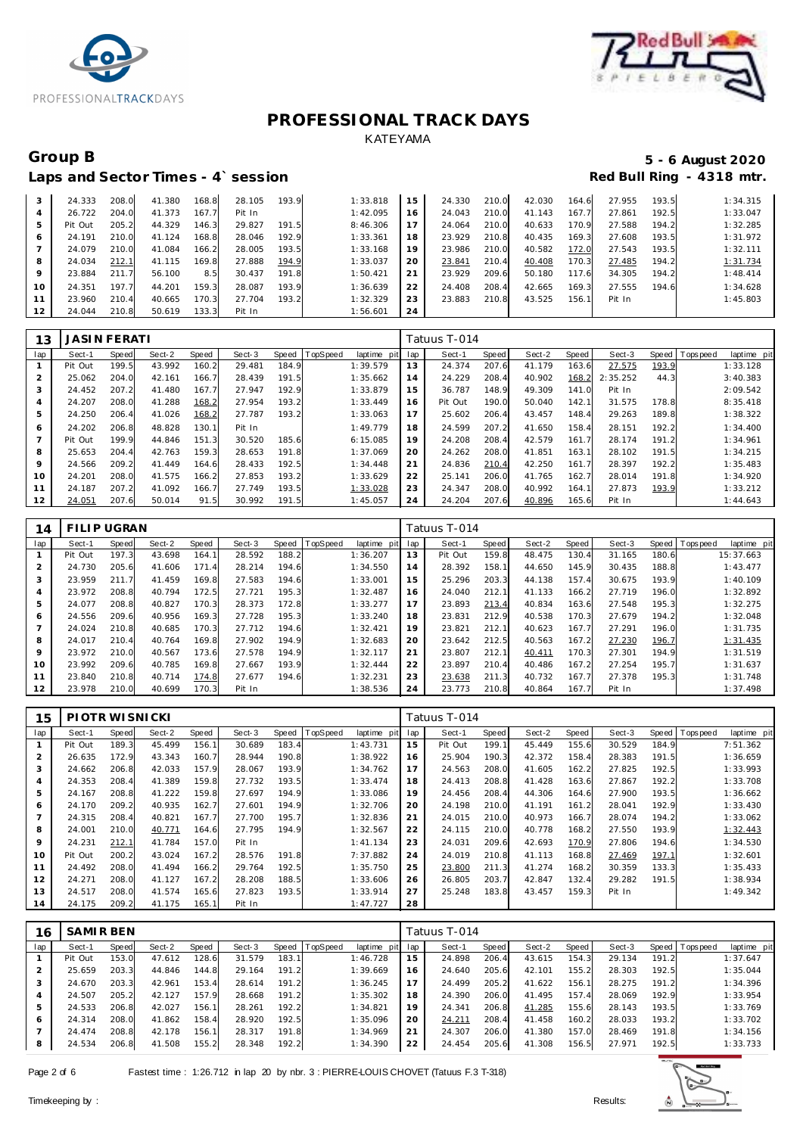



### Group B

### Laps and Sector Times - 4' session

### 5 - 6 August 2020 Red Bull Ring - 4318 mtr.

| 3  | 24.333  | 208.0 | 41.380 | 168.8 | 28.105 | 193.9 | 1:33.818 | 15 | 24.330 | 210.0 | 42.030 | 164.6 | 27.955 | 193.5 | 1:34.315 |
|----|---------|-------|--------|-------|--------|-------|----------|----|--------|-------|--------|-------|--------|-------|----------|
| 4  | 26.722  | 204.0 | 41.373 | 167.7 | Pit In |       | 1:42.095 | 16 | 24.043 | 210.0 | 41.143 | 167.7 | 27.861 | 192.5 | 1:33.047 |
| 5  | Pit Out | 205.2 | 44.329 | 146.3 | 29.827 | 191.5 | 8:46.306 |    | 24.064 | 210.0 | 40.633 | 170.9 | 27.588 | 194.2 | 1:32.285 |
| O  | 24.191  | 210.0 | 41.124 | 168.8 | 28.046 | 192.9 | 1:33.361 | 18 | 23.929 | 210.8 | 40.435 | 169.3 | 27.608 | 193.5 | 1:31.972 |
|    | 24.079  | 210.0 | 41.084 | 166.2 | 28.005 | 193.5 | 1:33.168 | 19 | 23.986 | 210.0 | 40.582 | 172.0 | 27.543 | 193.5 | 1:32.111 |
| 8  | 24.034  | 212.1 | 41.115 | 169.8 | 27.888 | 194.9 | 1:33.037 | 20 | 23.841 | 210.4 | 40.408 | 170.3 | 27.485 | 194.2 | 1:31.734 |
| 9  | 23.884  | 211   | 56.100 | 8.5   | 30.437 | 191.8 | 1:50.421 | 21 | 23.929 | 209.6 | 50.180 | 117.6 | 34.305 | 194.2 | 1:48.414 |
| 10 | 24.351  | 197.7 | 44.201 | 159.3 | 28.087 | 193.9 | 1:36.639 | 22 | 24.408 | 208.4 | 42.665 | 169.3 | 27.555 | 194.6 | 1:34.628 |
| 11 | 23.960  | 210.4 | 40.665 | 170.3 | 27.704 | 193.2 | 1:32.329 | 23 | 23.883 | 210.8 | 43.525 | 156.1 | Pit In |       | 1:45.803 |
| 12 | 24.044  | 210.8 | 50.619 | 133.3 | Pit In |       | 1:56.601 | 24 |        |       |        |       |        |       |          |

| 13      | <b>JASIN FERATI</b> |       |        |       |        |       |          |                |     | Tatuus T-014 |       |        |       |          |       |            |             |
|---------|---------------------|-------|--------|-------|--------|-------|----------|----------------|-----|--------------|-------|--------|-------|----------|-------|------------|-------------|
| lap     | Sect-1              | Speed | Sect-2 | Speed | Sect-3 | Speed | TopSpeed | laptime<br>pit | lap | Sect-1       | Speed | Sect-2 | Speed | Sect-3   | Speed | T ops peed | laptime pit |
|         | Pit Out             | 199.5 | 43.992 | 160.2 | 29.481 | 184.9 |          | 1:39.579       | 13  | 24.374       | 207.6 | 41.179 | 163.6 | 27.575   | 193.9 |            | 1:33.128    |
|         | 25.062              | 204.0 | 42.161 | 166.7 | 28.439 | 191.5 |          | 1:35.662       | 14  | 24.229       | 208.4 | 40.902 | 168.2 | 2:35.252 | 44.3  |            | 3:40.383    |
| 3       | 24.452              | 207.2 | 41.480 | 167.7 | 27.947 | 192.9 |          | 1:33.879       | 15  | 36.787       | 148.9 | 49.309 | 141.0 | Pit In   |       |            | 2:09.542    |
|         | 24.207              | 208.0 | 41.288 | 168.2 | 27.954 | 193.2 |          | 1:33.449       | 16  | Pit Out      | 190.0 | 50.040 | 142.1 | 31.575   | 178.8 |            | 8:35.418    |
| 5       | 24.250              | 206.4 | 41.026 | 168.2 | 27.787 | 193.2 |          | 1:33.063       | 17  | 25.602       | 206.4 | 43.457 | 148.4 | 29.263   | 189.8 |            | 1:38.322    |
| 6       | 24.202              | 206.8 | 48.828 | 130.1 | Pit In |       |          | 1:49.779       | 18  | 24.599       | 207.2 | 41.650 | 158.4 | 28.151   | 192.2 |            | 1:34.400    |
|         | Pit Out             | 199.9 | 44.846 | 151.3 | 30.520 | 185.6 |          | 6:15.085       | 19  | 24.208       | 208.4 | 42.579 | 161.7 | 28.174   | 191.2 |            | 1:34.961    |
| 8       | 25.653              | 204.4 | 42.763 | 159.3 | 28.653 | 191.8 |          | 1:37.069       | 20  | 24.262       | 208.0 | 41.851 | 163.1 | 28.102   | 191.5 |            | 1:34.215    |
| $\circ$ | 24.566              | 209.2 | 41.449 | 164.6 | 28.433 | 192.5 |          | 1:34.448       | 21  | 24.836       | 210.4 | 42.250 | 161.7 | 28.397   | 192.2 |            | 1:35.483    |
| 10      | 24.201              | 208.0 | 41.575 | 166.2 | 27.853 | 193.2 |          | 1:33.629       | 22  | 25.141       | 206.0 | 41.765 | 162.7 | 28.014   | 191.8 |            | 1:34.920    |
| 11      | 24.187              | 207.2 | 41.092 | 166.7 | 27.749 | 193.5 |          | 1:33.028       | 23  | 24.347       | 208.0 | 40.992 | 164.1 | 27.873   | 193.9 |            | 1:33.212    |
| 12      | 24.051              | 207.6 | 50.014 | 91.5  | 30.992 | 191.5 |          | 1:45.057       | 24  | 24.204       | 207.6 | 40.896 | 165.6 | Pit In   |       |            | 1:44.643    |

| 14             | FILIP UGRAN |                       |        |       |        |       |          |             |              | Tatuus T-014 |       |        |       |        |       |                |             |
|----------------|-------------|-----------------------|--------|-------|--------|-------|----------|-------------|--------------|--------------|-------|--------|-------|--------|-------|----------------|-------------|
| lap            | Sect-1      | Speed                 | Sect-2 | Speed | Sect-3 | Speed | TopSpeed | laptime pit | lap          | Sect-1       | Speed | Sect-2 | Speed | Sect-3 |       | Speed Topspeed | laptime pit |
|                | Pit Out     | 197.3                 | 43.698 | 164.1 | 28.592 | 188.2 |          | 1:36.207    | $\mathbf{3}$ | Pit Out      | 159.8 | 48.475 | 130.4 | 31.165 | 180.6 |                | 15:37.663   |
| $\overline{2}$ | 24.730      | 205.6                 | 41.606 | 171.4 | 28.214 | 194.6 |          | 1:34.550    | 14           | 28.392       | 158.1 | 44.650 | 145.9 | 30.435 | 188.8 |                | 1:43.477    |
| 3              | 23.959      | 211<br>$\overline{7}$ | 41.459 | 169.8 | 27.583 | 194.6 |          | 1:33.001    | 15           | 25.296       | 203.3 | 44.138 | 157.4 | 30.675 | 193.9 |                | 1:40.109    |
| 4              | 23.972      | 208.8                 | 40.794 | 172.5 | 27.721 | 195.3 |          | 1:32.487    | 16           | 24.040       | 212.1 | 41.133 | 166.2 | 27.719 | 196.0 |                | 1:32.892    |
| 5              | 24.077      | 208.8                 | 40.827 | 170.3 | 28.373 | 172.8 |          | 1:33.277    | 17           | 23.893       | 213.4 | 40.834 | 163.6 | 27.548 | 195.3 |                | 1:32.275    |
| 6              | 24.556      | 209.6                 | 40.956 | 169.3 | 27.728 | 195.3 |          | 1:33.240    | 18           | 23.831       | 212.9 | 40.538 | 170.3 | 27.679 | 194.2 |                | 1:32.048    |
|                | 24.024      | 210.8                 | 40.685 | 170.3 | 27.712 | 194.6 |          | 1:32.421    | 19           | 23.821       | 212.1 | 40.623 | 167.7 | 27.291 | 196.0 |                | 1:31.735    |
| 8              | 24.017      | 210.4                 | 40.764 | 169.8 | 27.902 | 194.9 |          | 1:32.683    | 20           | 23.642       | 212.5 | 40.563 | 167.2 | 27.230 | 196.7 |                | 1:31.435    |
| 9              | 23.972      | 210.0                 | 40.567 | 173.6 | 27.578 | 194.9 |          | 1:32.117    | 21           | 23.807       | 212.1 | 40.411 | 170.3 | 27.301 | 194.9 |                | 1:31.519    |
| 10             | 23.992      | 209.6                 | 40.785 | 169.8 | 27.667 | 193.9 |          | 1:32.444    | 22           | 23.897       | 210.4 | 40.486 | 167.2 | 27.254 | 195.7 |                | 1:31.637    |
| 11             | 23.840      | 210.8                 | 40.714 | 174.8 | 27.677 | 194.6 |          | 1:32.231    | 23           | 23.638       | 211.3 | 40.732 | 167.7 | 27.378 | 195.3 |                | 1:31.748    |
| 12             | 23.978      | 210.0                 | 40.699 | 170.3 | Pit In |       |          | 1:38.536    | 24           | 23.773       | 210.8 | 40.864 | 167.7 | Pit In |       |                | 1:37.498    |

| 15             | PIOTR WISNICKI |       |        |       |        |       |          |             |     | Tatuus T-014 |       |        |       |        |       |           |             |
|----------------|----------------|-------|--------|-------|--------|-------|----------|-------------|-----|--------------|-------|--------|-------|--------|-------|-----------|-------------|
| lap            | Sect-1         | Speed | Sect-2 | Speed | Sect-3 | Speed | TopSpeed | laptime pit | lap | Sect-1       | Speed | Sect-2 | Speed | Sect-3 | Speed | Tops peed | laptime pit |
|                | Pit Out        | 189.3 | 45.499 | 156.1 | 30.689 | 183.4 |          | 1:43.731    | 15  | Pit Out      | 199.1 | 45.449 | 155.6 | 30.529 | 184.9 |           | 7:51.362    |
| $\overline{2}$ | 26.635         | 172.9 | 43.343 | 160.7 | 28.944 | 190.8 |          | 1:38.922    | 16  | 25.904       | 190.3 | 42.372 | 158.4 | 28.383 | 191.5 |           | 1:36.659    |
| 3              | 24.662         | 206.8 | 42.033 | 157.9 | 28.067 | 193.9 |          | 1:34.762    | 17  | 24.563       | 208.0 | 41.605 | 162.2 | 27.825 | 192.5 |           | 1:33.993    |
| 4              | 24.353         | 208.4 | 41.389 | 159.8 | 27.732 | 193.5 |          | 1:33.474    | 18  | 24.413       | 208.8 | 41.428 | 163.6 | 27.867 | 192.2 |           | 1:33.708    |
| 5              | 24.167         | 208.8 | 41.222 | 159.8 | 27.697 | 194.9 |          | 1:33.086    | 19  | 24.456       | 208.4 | 44.306 | 164.6 | 27.900 | 193.5 |           | 1:36.662    |
| 6              | 24.170         | 209.2 | 40.935 | 162.7 | 27.601 | 194.9 |          | 1:32.706    | 20  | 24.198       | 210.0 | 41.191 | 161.2 | 28.041 | 192.9 |           | 1:33.430    |
| $\overline{7}$ | 24.315         | 208.4 | 40.821 | 167.7 | 27.700 | 195.7 |          | 1:32.836    | 21  | 24.015       | 210.0 | 40.973 | 166.7 | 28.074 | 194.2 |           | 1:33.062    |
| 8              | 24.001         | 210.0 | 40.771 | 164.6 | 27.795 | 194.9 |          | 1:32.567    | 22  | 24.115       | 210.0 | 40.778 | 168.2 | 27.550 | 193.9 |           | 1:32.443    |
| 9              | 24.231         | 212.1 | 41.784 | 157.0 | Pit In |       |          | 1:41.134    | 23  | 24.031       | 209.6 | 42.693 | 170.9 | 27.806 | 194.6 |           | 1:34.530    |
| 10             | Pit Out        | 200.2 | 43.024 | 167.2 | 28.576 | 191.8 |          | 7:37.882    | 24  | 24.019       | 210.8 | 41.113 | 168.8 | 27.469 | 197.1 |           | 1:32.601    |
| 11             | 24.492         | 208.0 | 41.494 | 166.2 | 29.764 | 192.5 |          | 1:35.750    | 25  | 23.800       | 211.3 | 41.274 | 168.2 | 30.359 | 133.3 |           | 1:35.433    |
| 12             | 24.271         | 208.0 | 41.127 | 167.2 | 28.208 | 188.5 |          | 1:33.606    | 26  | 26.805       | 203.7 | 42.847 | 132.4 | 29.282 | 191.5 |           | 1:38.934    |
| 13             | 24.517         | 208.0 | 41.574 | 165.6 | 27.823 | 193.5 |          | 1:33.914    | 27  | 25.248       | 183.8 | 43.457 | 159.3 | Pit In |       |           | 1:49.342    |
| 14             | 24.175         | 209.2 | 41.175 | 165.1 | Pit In |       |          | 1:47.727    | 28  |              |       |        |       |        |       |           |             |

| 16  | SAMIR BEN |       |        |       |        |       |                |             |     | Tatuus T-014 |       |        |       |        |       |                 |             |
|-----|-----------|-------|--------|-------|--------|-------|----------------|-------------|-----|--------------|-------|--------|-------|--------|-------|-----------------|-------------|
| lap | Sect-1    | Speed | Sect-2 | Speed | Sect-3 |       | Speed TopSpeed | laptime pit | lap | Sect-1       | Speed | Sect-2 | Speed | Sect-3 |       | Speed Tops peed | laptime pit |
|     | Pit Out   | 153.0 | 47.612 | 128.6 | 31.579 | 183.1 |                | 1:46.728    | 15  | 24.898       | 206.4 | 43.615 | 154.3 | 29.134 | 191.2 |                 | 1:37.647    |
|     | 25.659    | 203.3 | 44.846 | 144.8 | 29.164 | 191.2 |                | 1:39.669    | 16  | 24.640       | 205.6 | 42.101 | 155.2 | 28.303 | 192.5 |                 | 1:35.044    |
| 3   | 24.670    | 203.3 | 42.961 | 153.4 | 28.614 | 191.2 |                | 1:36.245    |     | 24.499       | 205.2 | 41.622 | 156.1 | 28.275 | 191.2 |                 | 1:34.396    |
| 4   | 24.507    | 205.2 | 42.127 | 157.9 | 28.668 | 191.2 |                | 1:35.302    | 18  | 24.390       | 206.0 | 41.495 | 157.4 | 28.069 | 192.9 |                 | 1:33.954    |
| 5   | 24.533    | 206.8 | 42.027 | 156.1 | 28.261 | 192.2 |                | 1:34.821    | 19  | 24.341       | 206.8 | 41.285 | 155.6 | 28.143 | 193.5 |                 | 1:33.769    |
| 6   | 24.314    | 208.0 | 41.862 | 158.4 | 28.920 | 192.5 |                | 1:35.096    | 20  | 24.211       | 208.4 | 41.458 | 160.2 | 28.033 | 193.2 |                 | 1:33.702    |
|     | 24.474    | 208.8 | 42.178 | 156.1 | 28.317 | 191.8 |                | 1:34.969    | 21  | 24.307       | 206.0 | 41.380 | 157.0 | 28.469 | 191.8 |                 | 1:34.156    |
| 8   | 24.534    | 206.8 | 41.508 | 155.2 | 28.348 | 192.2 |                | 1:34.390    | 22  | 24.454       | 205.6 | 41.308 | 156.5 | 27.971 | 192.5 |                 | 1:33.733    |

Page 2 of 6

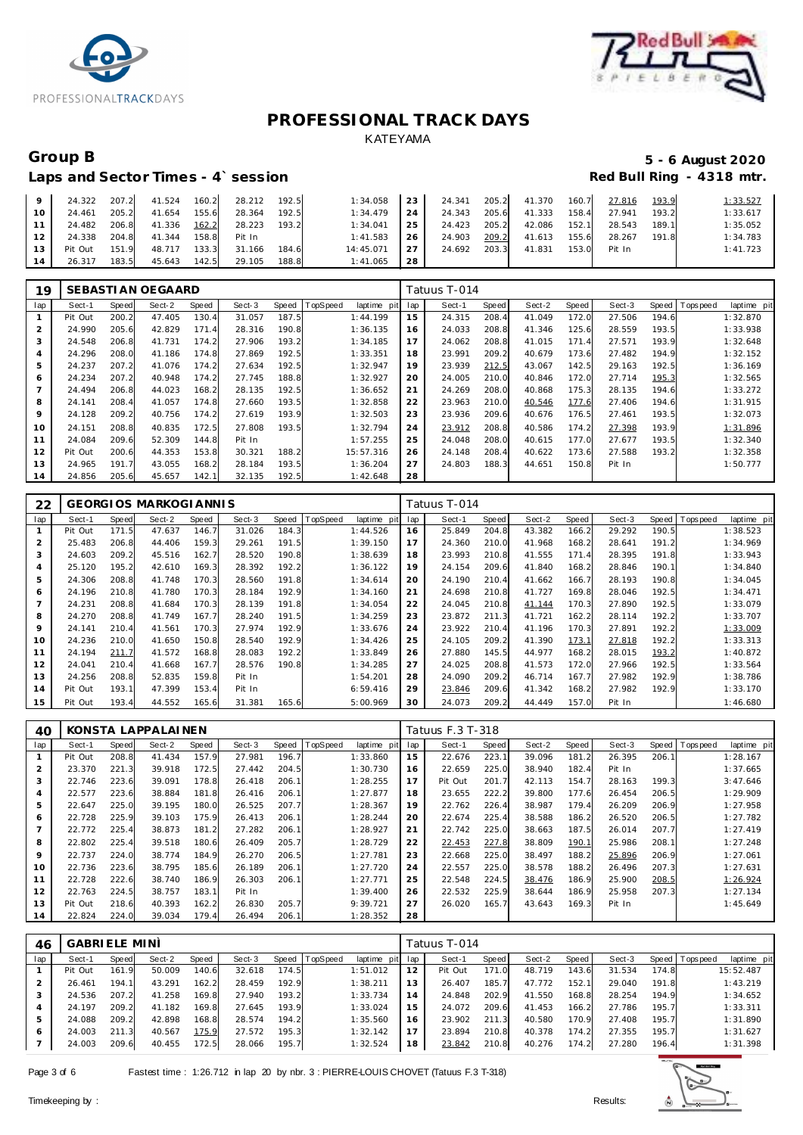



### Laps and Sector Times - 4`session

# Group B<br>
5 - 6 August 2020<br>
Laps and Sector Times - 4`session<br> **5 - 6 August 2020**

| $\overline{9}$  |              |       | 24.322 207.2 41.524 160.2 28.212 192.5 |        |       |           |           | 1:34.058 23 24.341 205.2 41.370 |       |        | 160.7 | 27.816 193.9 |       | 1:33.527 |
|-----------------|--------------|-------|----------------------------------------|--------|-------|-----------|-----------|---------------------------------|-------|--------|-------|--------------|-------|----------|
| 10 <sup>1</sup> | 24.461 205.2 |       | 41.654 155.6                           | 28.364 | 192.5 | 1:34.479  | 24 l      | 24.343 205.6                    |       | 41.333 | 158.4 | 27.941       | 193.2 | 1:33.617 |
| 111             |              |       | 24.482 206.8 41.336 162.2 28.223       |        | 193.2 | 1:34.041  | 25        | 24.423 205.2                    |       | 42.086 | 152.1 | 28.543       | 189.1 | 1:35.052 |
| 12 <sup>1</sup> |              |       | 24.338 204.8 41.344 158.8 Pit In       |        |       | 1:41.583  | <b>26</b> | 24.903                          | 209.2 | 41.613 | 155.6 | 28.267       | 191.8 | 1:34.783 |
| 13              | Pit Out      | 151.9 | 48.717 133.3                           | 31.166 | 184.6 | 14:45.071 | 27 I      | 24.692                          | 203.3 | 41.831 | 153.0 | Pit In       |       | 1:41.723 |
| 14              | 26.317 183.5 |       | 45.643 142.5                           | 29.105 | 188.8 | 1:41.065  | 28        |                                 |       |        |       |              |       |          |

| 19  |         |       | SEBASTI AN OEGAARD |       |        |       |          |                |     | Tatuus T-014 |       |        |       |        |       |          |             |
|-----|---------|-------|--------------------|-------|--------|-------|----------|----------------|-----|--------------|-------|--------|-------|--------|-------|----------|-------------|
| lap | Sect-1  | Speed | Sect-2             | Speed | Sect-3 | Speed | TopSpeed | laptime<br>pit | lap | Sect-1       | Speed | Sect-2 | Speed | Sect-3 | Speed | Topspeed | laptime pit |
|     | Pit Out | 200.2 | 47.405             | 130.4 | 31.057 | 187.5 |          | 1:44.199       | 15  | 24.315       | 208.4 | 41.049 | 172.0 | 27.506 | 194.6 |          | 1:32.870    |
|     | 24.990  | 205.6 | 42.829             | 171.4 | 28.316 | 190.8 |          | 1:36.135       | 16  | 24.033       | 208.8 | 41.346 | 125.6 | 28.559 | 193.5 |          | 1:33.938    |
| 3   | 24.548  | 206.8 | 41.731             | 174.2 | 27.906 | 193.2 |          | 1:34.185       | 17  | 24.062       | 208.8 | 41.015 | 171.4 | 27.571 | 193.9 |          | 1:32.648    |
| 4   | 24.296  | 208.0 | 41.186             | 174.8 | 27.869 | 192.5 |          | 1:33.351       | 18  | 23.991       | 209.2 | 40.679 | 173.6 | 27.482 | 194.9 |          | 1:32.152    |
| 5   | 24.237  | 207.2 | 41.076             | 174.2 | 27.634 | 192.5 |          | 1:32.947       | 19  | 23.939       | 212.5 | 43.067 | 142.5 | 29.163 | 192.5 |          | 1:36.169    |
| 6   | 24.234  | 207.2 | 40.948             | 174.2 | 27.745 | 188.8 |          | 1:32.927       | 20  | 24.005       | 210.0 | 40.846 | 172.0 | 27.714 | 195.3 |          | 1:32.565    |
|     | 24.494  | 206.8 | 44.023             | 168.2 | 28.135 | 192.5 |          | 1:36.652       | 21  | 24.269       | 208.0 | 40.868 | 175.3 | 28.135 | 194.6 |          | 1:33.272    |
| 8   | 24.141  | 208.4 | 41.057             | 174.8 | 27.660 | 193.5 |          | 1:32.858       | 22  | 23.963       | 210.0 | 40.546 | 177.6 | 27.406 | 194.6 |          | 1:31.915    |
| 9   | 24.128  | 209.2 | 40.756             | 174.2 | 27.619 | 193.9 |          | 1:32.503       | 23  | 23.936       | 209.6 | 40.676 | 176.5 | 27.461 | 193.5 |          | 1:32.073    |
| 10  | 24.151  | 208.8 | 40.835             | 172.5 | 27.808 | 193.5 |          | 1:32.794       | 24  | 23.912       | 208.8 | 40.586 | 174.2 | 27.398 | 193.9 |          | 1:31.896    |
| 11  | 24.084  | 209.6 | 52.309             | 144.8 | Pit In |       |          | 1:57.255       | 25  | 24.048       | 208.0 | 40.615 | 177.0 | 27.677 | 193.5 |          | 1:32.340    |
| 12  | Pit Out | 200.6 | 44.353             | 153.8 | 30.321 | 188.2 |          | 15:57.316      | 26  | 24.148       | 208.4 | 40.622 | 173.6 | 27.588 | 193.2 |          | 1:32.358    |
| 13  | 24.965  | 191.7 | 43.055             | 168.2 | 28.184 | 193.5 |          | 1:36.204       | 27  | 24.803       | 188.3 | 44.651 | 150.8 | Pit In |       |          | 1:50.777    |
| 14  | 24.856  | 205.6 | 45.657             | 142.1 | 32.135 | 192.5 |          | 1:42.648       | 28  |              |       |        |       |        |       |          |             |

| 22  |         |       | <b>GEORGIOS MARKOGIANNIS</b> |       |        |       |          |                |     | Tatuus T-014 |       |        |       |        |       |                |             |
|-----|---------|-------|------------------------------|-------|--------|-------|----------|----------------|-----|--------------|-------|--------|-------|--------|-------|----------------|-------------|
| lap | Sect-1  | Speed | Sect-2                       | Speed | Sect-3 | Speed | TopSpeed | laptime<br>pit | lap | Sect-1       | Speed | Sect-2 | Speed | Sect-3 |       | Speed Topspeed | laptime pit |
|     | Pit Out | 171.5 | 47.637                       | 146.7 | 31.026 | 184.3 |          | 1:44.526       | 16  | 25.849       | 204.8 | 43.382 | 166.2 | 29.292 | 190.5 |                | 1:38.523    |
| 2   | 25.483  | 206.8 | 44.406                       | 159.3 | 29.261 | 191.5 |          | 1:39.150       | 17  | 24.360       | 210.0 | 41.968 | 168.2 | 28.641 | 191.2 |                | 1:34.969    |
| 3   | 24.603  | 209.2 | 45.516                       | 162.7 | 28.520 | 190.8 |          | 1:38.639       | 18  | 23.993       | 210.8 | 41.555 | 171.4 | 28.395 | 191.8 |                | 1:33.943    |
| 4   | 25.120  | 195.2 | 42.610                       | 169.3 | 28.392 | 192.2 |          | 1:36.122       | 19  | 24.154       | 209.6 | 41.840 | 168.2 | 28.846 | 190.1 |                | 1:34.840    |
| 5   | 24.306  | 208.8 | 41.748                       | 170.3 | 28.560 | 191.8 |          | 1:34.614       | 20  | 24.190       | 210.4 | 41.662 | 166.7 | 28.193 | 190.8 |                | 1:34.045    |
| 6   | 24.196  | 210.8 | 41.780                       | 170.3 | 28.184 | 192.9 |          | 1:34.160       | 21  | 24.698       | 210.8 | 41.727 | 169.8 | 28.046 | 192.5 |                | 1:34.471    |
| 7   | 24.231  | 208.8 | 41.684                       | 170.3 | 28.139 | 191.8 |          | 1:34.054       | 22  | 24.045       | 210.8 | 41.144 | 170.3 | 27.890 | 192.5 |                | 1:33.079    |
| 8   | 24.270  | 208.8 | 41.749                       | 167.7 | 28.240 | 191.5 |          | 1:34.259       | 23  | 23.872       | 211.3 | 41.721 | 162.2 | 28.114 | 192.2 |                | 1:33.707    |
| 9   | 24.141  | 210.4 | 41.561                       | 170.3 | 27.974 | 192.9 |          | 1:33.676       | 24  | 23.922       | 210.4 | 41.196 | 170.3 | 27.891 | 192.2 |                | 1:33.009    |
| 10  | 24.236  | 210.0 | 41.650                       | 150.8 | 28.540 | 192.9 |          | 1:34.426       | 25  | 24.105       | 209.2 | 41.390 | 173.1 | 27.818 | 192.2 |                | 1:33.313    |
| 11  | 24.194  | 211.7 | 41.572                       | 168.8 | 28.083 | 192.2 |          | 1:33.849       | 26  | 27.880       | 145.5 | 44.977 | 168.2 | 28.015 | 193.2 |                | 1:40.872    |
| 12  | 24.041  | 210.4 | 41.668                       | 167.7 | 28.576 | 190.8 |          | 1:34.285       | 27  | 24.025       | 208.8 | 41.573 | 172.0 | 27.966 | 192.5 |                | 1:33.564    |
| 13  | 24.256  | 208.8 | 52.835                       | 159.8 | Pit In |       |          | 1:54.201       | 28  | 24.090       | 209.2 | 46.714 | 167.7 | 27.982 | 192.9 |                | 1:38.786    |
| 14  | Pit Out | 193.1 | 47.399                       | 153.4 | Pit In |       |          | 6:59.416       | 29  | 23.846       | 209.6 | 41.342 | 168.2 | 27.982 | 192.9 |                | 1:33.170    |
| 15  | Pit Out | 193.4 | 44.552                       | 165.6 | 31.381 | 165.6 |          | 5:00.969       | 30  | 24.073       | 209.2 | 44.449 | 157.0 | Pit In |       |                | 1:46.680    |

| 40  |         |              | KONSTA LAPPALAINEN |       |        |       |                 |             |     | Tatuus F.3 T-318 |       |        |       |        |       |                |             |
|-----|---------|--------------|--------------------|-------|--------|-------|-----------------|-------------|-----|------------------|-------|--------|-------|--------|-------|----------------|-------------|
| lap | Sect-1  | <b>Speed</b> | Sect-2             | Speed | Sect-3 | Speed | <b>TopSpeed</b> | laptime pit | lap | Sect-1           | Speed | Sect-2 | Speed | Sect-3 |       | Speed Topspeed | laptime pit |
|     | Pit Out | 208.8        | 41.434             | 157.9 | 27.981 | 196.7 |                 | 1:33.860    | 15  | 22.676           | 223.1 | 39.096 | 181.2 | 26.395 | 206.1 |                | 1:28.167    |
| 2   | 23.370  | 221.3        | 39.918             | 172.5 | 27.442 | 204.5 |                 | 1:30.730    | 16  | 22.659           | 225.0 | 38.940 | 182.4 | Pit In |       |                | 1:37.665    |
| 3   | 22.746  | 223.6        | 39.091             | 178.8 | 26.418 | 206.1 |                 | 1:28.255    | 17  | Pit Out          | 201.7 | 42.113 | 154.7 | 28.163 | 199.3 |                | 3:47.646    |
| 4   | 22.577  | 223.6        | 38.884             | 181.8 | 26.416 | 206.1 |                 | 1:27.877    | 18  | 23.655           | 222.2 | 39.800 | 177.6 | 26.454 | 206.5 |                | 1:29.909    |
| 5   | 22.647  | 225.0        | 39.195             | 180.0 | 26.525 | 207.7 |                 | 1:28.367    | 19  | 22.762           | 226.4 | 38.987 | 179.4 | 26.209 | 206.9 |                | 1:27.958    |
| 6   | 22.728  | 225.9        | 39.103             | 175.9 | 26.413 | 206.1 |                 | 1:28.244    | 20  | 22.674           | 225.4 | 38.588 | 186.2 | 26.520 | 206.5 |                | 1:27.782    |
| 7   | 22.772  | 225.4        | 38.873             | 181.2 | 27.282 | 206.1 |                 | 1:28.927    | 21  | 22.742           | 225.0 | 38.663 | 187.5 | 26.014 | 207.7 |                | 1:27.419    |
| 8   | 22.802  | 225.4        | 39.518             | 180.6 | 26.409 | 205.7 |                 | 1:28.729    | 22  | 22.453           | 227.8 | 38.809 | 190.1 | 25.986 | 208.1 |                | 1:27.248    |
| 9   | 22.737  | 224.0        | 38.774             | 184.9 | 26.270 | 206.5 |                 | 1:27.781    | 23  | 22.668           | 225.0 | 38.497 | 188.2 | 25.896 | 206.9 |                | 1:27.061    |
| 10  | 22.736  | 223.6        | 38.795             | 185.6 | 26.189 | 206.1 |                 | 1:27.720    | 24  | 22.557           | 225.0 | 38.578 | 188.2 | 26.496 | 207.3 |                | 1:27.631    |
| 11  | 22.728  | 222.6        | 38.740             | 186.9 | 26.303 | 206.1 |                 | 1:27.771    | 25  | 22.548           | 224.5 | 38.476 | 186.9 | 25.900 | 208.5 |                | 1:26.924    |
| 12  | 22.763  | 224.5        | 38.757             | 183.1 | Pit In |       |                 | 1:39.400    | 26  | 22.532           | 225.9 | 38.644 | 186.9 | 25.958 | 207.3 |                | 1:27.134    |
| 13  | Pit Out | 218.6        | 40.393             | 162.2 | 26.830 | 205.7 |                 | 9:39.721    | 27  | 26.020           | 165.7 | 43.643 | 169.3 | Pit In |       |                | 1:45.649    |
| 14  | 22.824  | 224.0        | 39.034             | 179.4 | 26.494 | 206.1 |                 | 1:28.352    | 28  |                  |       |        |       |        |       |                |             |

| 46  | <b>GABRIELE MINI</b> |       |        |       |        |       |                |                 |    | Tatuus T-014 |       |        |       |        |       |                |             |
|-----|----------------------|-------|--------|-------|--------|-------|----------------|-----------------|----|--------------|-------|--------|-------|--------|-------|----------------|-------------|
| lap | Sect-1               | Speed | Sect-2 | Speed | Sect-3 |       | Speed TopSpeed | laptime pit lap |    | Sect-1       | Speed | Sect-2 | Speed | Sect-3 |       | Speed Topspeed | laptime pit |
|     | Pit Out              | 161.9 | 50.009 | 140.6 | 32.618 | 174.5 |                | 1:51.012        |    | Pit Out      | 171.0 | 48.719 | 143.6 | 31.534 | 174.8 |                | 15:52.487   |
|     | 26.461               | 194.1 | 43.291 | 162.2 | 28.459 | 192.9 |                | 1:38.211        | 13 | 26.407       | 185.7 | 47.772 | 152.1 | 29.040 | 191.8 |                | 1:43.219    |
| 3   | 24.536               | 207.2 | 41.258 | 169.8 | 27.940 | 193.2 |                | 1:33.734        | 14 | 24.848       | 202.9 | 41.550 | 168.8 | 28.254 | 194.9 |                | 1:34.652    |
|     | 24.197               | 209.2 | 41.182 | 169.8 | 27.645 | 193.9 |                | 1:33.024        | 15 | 24.072       | 209.6 | 41.453 | 166.2 | 27.786 | 195.7 |                | 1:33.311    |
| 5   | 24.088               | 209.2 | 42.898 | 168.8 | 28.574 | 194.2 |                | 1:35.560        | 16 | 23.902       | 211.3 | 40.580 | 170.9 | 27.408 | 195.7 |                | 1:31.890    |
| 6   | 24.003               | 211.3 | 40.567 | 175.9 | 27.572 | 195.3 |                | 1:32.142        |    | 23.894       | 210.8 | 40.378 | 174.2 | 27.355 | 195.7 |                | 1:31.627    |
|     | 24.003               | 209.6 | 40.455 | 172.5 | 28.066 | 195.7 |                | 1:32.524        | 18 | 23.842       | 210.8 | 40.276 | 174.2 | 27.280 | 196.4 |                | 1:31.398    |

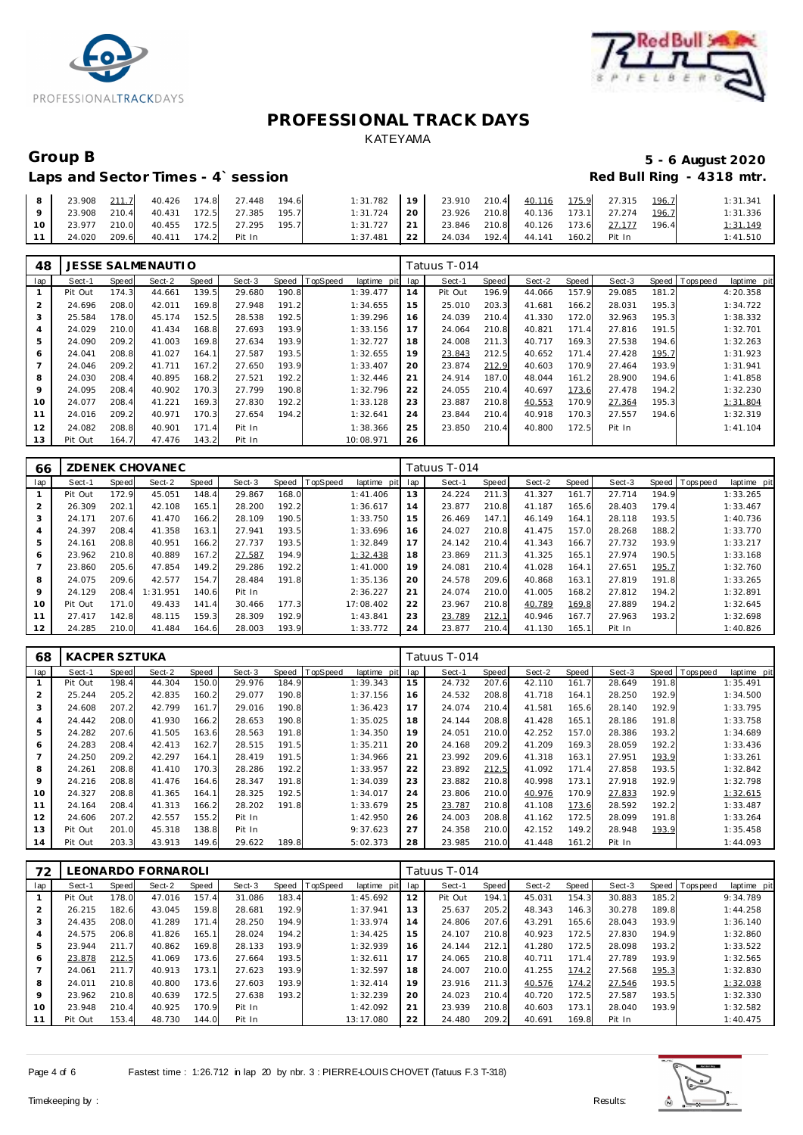



### Laps and Sector Times - 4`session

# Group B<br> **Example 2020**<br>
Laps and Sector Times - 4`session<br> **5 - 6 August 2020**<br>
Red Bull Ring - 4318 mtr.

| 8 23.908 211.7 40.426 174.8 27.448 194.6    |  |  | 1:31.782 19 23.910 210.4 40.116 175.9 27.315 196.7       |                                              |  |  | 1:31.341 |
|---------------------------------------------|--|--|----------------------------------------------------------|----------------------------------------------|--|--|----------|
| 9   23.908 210.4 40.431 172.5 27.385 195.7  |  |  | $1:31.724$   20   23.926 210.8 40.136 173.1 27.274 196.7 |                                              |  |  | 1:31.336 |
| 10   23.977 210.0 40.455 172.5 27.295 195.7 |  |  | $1:31.727$ 21 23.846 210.8 40.126 173.6 27.177 196.4     |                                              |  |  | 1:31.149 |
| 11 24.020 209.6 40.411 174.2 Pit In         |  |  |                                                          | 1:37.481 22 24.034 192.4 44.141 160.2 Pit In |  |  | 1:41.510 |

| 48  |         |       | <b>JESSE SALMENAUTIO</b> |       |        |       |          |             |     | Fatuus T-014 |              |        |       |        |       |                |             |
|-----|---------|-------|--------------------------|-------|--------|-------|----------|-------------|-----|--------------|--------------|--------|-------|--------|-------|----------------|-------------|
| lap | Sect-1  | Speed | Sect-2                   | Speed | Sect-3 | Speed | TopSpeed | laptime pit | lap | Sect-1       | <b>Speed</b> | Sect-2 | Speed | Sect-3 |       | Speed Topspeed | laptime pit |
|     | Pit Out | 174.3 | 44.661                   | 139.5 | 29.680 | 190.8 |          | 1:39.477    | 14  | Pit Out      | 196.9        | 44.066 | 157.9 | 29.085 | 181.2 |                | 4:20.358    |
| 2   | 24.696  | 208.0 | 42.011                   | 169.8 | 27.948 | 191.2 |          | 1:34.655    | 15  | 25.010       | 203.3        | 41.681 | 166.2 | 28.031 | 195.3 |                | 1:34.722    |
| 3   | 25.584  | 178.0 | 45.174                   | 152.5 | 28.538 | 192.5 |          | 1:39.296    | 16  | 24.039       | 210.4        | 41.330 | 172.0 | 32.963 | 195.3 |                | 1:38.332    |
|     | 24.029  | 210.0 | 41.434                   | 168.8 | 27.693 | 193.9 |          | 1:33.156    | 17  | 24.064       | 210.8        | 40.821 | 171.4 | 27.816 | 191.5 |                | 1:32.701    |
| 5   | 24.090  | 209.2 | 41.003                   | 169.8 | 27.634 | 193.9 |          | 1:32.727    | 18  | 24.008       | 211.3        | 40.717 | 169.3 | 27.538 | 194.6 |                | 1:32.263    |
| 6   | 24.041  | 208.8 | 41.027                   | 164.1 | 27.587 | 193.5 |          | 1:32.655    | 19  | 23.843       | 212.5        | 40.652 | 171.4 | 27.428 | 195.7 |                | 1:31.923    |
|     | 24.046  | 209.2 | 41.711                   | 167.2 | 27.650 | 193.9 |          | 1:33.407    | 20  | 23.874       | 212.9        | 40.603 | 170.9 | 27.464 | 193.9 |                | 1:31.941    |
| 8   | 24.030  | 208.4 | 40.895                   | 168.2 | 27.521 | 192.2 |          | 1:32.446    | 21  | 24.914       | 187.0        | 48.044 | 161.2 | 28.900 | 194.6 |                | 1:41.858    |
| 9   | 24.095  | 208.4 | 40.902                   | 170.3 | 27.799 | 190.8 |          | 1:32.796    | 22  | 24.055       | 210.4        | 40.697 | 173.6 | 27.478 | 194.2 |                | 1:32.230    |
| 10  | 24.077  | 208.4 | 41.221                   | 169.3 | 27.830 | 192.2 |          | 1:33.128    | 23  | 23.887       | 210.8        | 40.553 | 170.9 | 27.364 | 195.3 |                | 1:31.804    |
| 11  | 24.016  | 209.2 | 40.971                   | 170.3 | 27.654 | 194.2 |          | 1:32.641    | 24  | 23.844       | 210.4        | 40.918 | 170.3 | 27.557 | 194.6 |                | 1:32.319    |
| 12  | 24.082  | 208.8 | 40.901                   | 171.4 | Pit In |       |          | 1:38.366    | 25  | 23.850       | 210.4        | 40.800 | 172.5 | Pit In |       |                | 1: 41.104   |
| 13  | Pit Out | 164.7 | 47.476                   | 143.2 | Pit In |       |          | 10:08.971   | 26  |              |              |        |       |        |       |                |             |

| 66  |         |       | ZDENEK CHOVANEC |       |        |       |                 |             |     | Tatuus T-014 |              |        |       |        |              |           |             |
|-----|---------|-------|-----------------|-------|--------|-------|-----------------|-------------|-----|--------------|--------------|--------|-------|--------|--------------|-----------|-------------|
| lap | Sect-1  | Speed | Sect-2          | Speed | Sect-3 | Speed | <b>TopSpeed</b> | laptime pit | lap | Sect-1       | <b>Speed</b> | Sect-2 | Speed | Sect-3 | <b>Speed</b> | Tops peed | laptime pit |
|     | Pit Out | 172.9 | 45.051          | 148.4 | 29.867 | 168.0 |                 | 1: 41.406   | 13  | 24.224       | 211.3        | 41.327 | 161.7 | 27.714 | 194.9        |           | 1:33.265    |
|     | 26.309  | 202.1 | 42.108          | 165.1 | 28.200 | 192.2 |                 | 1:36.617    | 14  | 23.877       | 210.8        | 41.187 | 165.6 | 28.403 | 179.4        |           | 1:33.467    |
| .5  | 24.171  | 207.6 | 41.470          | 166.2 | 28.109 | 190.5 |                 | 1:33.750    | 15  | 26.469       | 147.1        | 46.149 | 164.1 | 28.118 | 193.5        |           | 1:40.736    |
|     | 24.397  | 208.4 | 41.358          | 163.1 | 27.941 | 193.5 |                 | 1:33.696    | 16  | 24.027       | 210.8        | 41.475 | 157.0 | 28.268 | 188.2        |           | 1:33.770    |
| 5   | 24.161  | 208.8 | 40.951          | 166.2 | 27.737 | 193.5 |                 | 1:32.849    | 17  | 24.142       | 210.4        | 41.343 | 166.7 | 27.732 | 193.9        |           | 1:33.217    |
| 6   | 23.962  | 210.8 | 40.889          | 167.2 | 27.587 | 194.9 |                 | 1:32.438    | 18  | 23.869       | 211.3        | 41.325 | 165.1 | 27.974 | 190.5        |           | 1:33.168    |
|     | 23.860  | 205.6 | 47.854          | 149.2 | 29.286 | 192.2 |                 | 1:41.000    | 19  | 24.081       | 210.4        | 41.028 | 164.1 | 27.651 | 195.7        |           | 1:32.760    |
| 8   | 24.075  | 209.6 | 42.577          | 154.7 | 28.484 | 191.8 |                 | 1:35.136    | 20  | 24.578       | 209.6        | 40.868 | 163.1 | 27.819 | 191.8        |           | 1:33.265    |
| 9   | 24.129  | 208.4 | 1:31.951        | 140.6 | Pit In |       |                 | 2:36.227    | 21  | 24.074       | 210.0        | 41.005 | 168.2 | 27.812 | 194.2        |           | 1:32.891    |
| 10  | Pit Out | 171.0 | 49.433          | 141.4 | 30.466 | 177.3 |                 | 17:08.402   | 22  | 23.967       | 210.8        | 40.789 | 169.8 | 27.889 | 194.2        |           | 1:32.645    |
| 11  | 27.417  | 142.8 | 48.115          | 159.3 | 28.309 | 192.9 |                 | 1:43.841    | 23  | 23.789       | 212.1        | 40.946 | 167.7 | 27.963 | 193.2        |           | 1:32.698    |
| 12  | 24.285  | 210.0 | 41.484          | 164.6 | 28.003 | 193.9 |                 | 1:33.772    | 24  | 23.877       | 210.4        | 41.130 | 165.1 | Pit In |              |           | 1:40.826    |

| 68             | KACPER SZTUKA |       |        |       |        |       |                 |             |     | Tatuus T-014 |       |        |       |        |       |           |             |
|----------------|---------------|-------|--------|-------|--------|-------|-----------------|-------------|-----|--------------|-------|--------|-------|--------|-------|-----------|-------------|
| lap            | Sect-1        | Speed | Sect-2 | Speed | Sect-3 | Speed | <b>TopSpeed</b> | laptime pit | lap | Sect-1       | Speed | Sect-2 | Speed | Sect-3 | Speed | Tops peed | laptime pit |
|                | Pit Out       | 198.4 | 44.304 | 150.C | 29.976 | 184.9 |                 | 1:39.343    | 15  | 24.732       | 207.6 | 42.110 | 161.7 | 28.649 | 191.8 |           | 1:35.491    |
| $\overline{2}$ | 25.244        | 205.2 | 42.835 | 160.2 | 29.077 | 190.8 |                 | 1:37.156    | 16  | 24.532       | 208.8 | 41.718 | 164.1 | 28.250 | 192.9 |           | 1:34.500    |
| 3              | 24.608        | 207.2 | 42.799 | 161.7 | 29.016 | 190.8 |                 | 1:36.423    | 17  | 24.074       | 210.4 | 41.581 | 165.6 | 28.140 | 192.9 |           | 1:33.795    |
| $\overline{4}$ | 24.442        | 208.0 | 41.930 | 166.2 | 28.653 | 190.8 |                 | 1:35.025    | 18  | 24.144       | 208.8 | 41.428 | 165.1 | 28.186 | 191.8 |           | 1:33.758    |
| 5              | 24.282        | 207.6 | 41.505 | 163.6 | 28.563 | 191.8 |                 | 1:34.350    | 19  | 24.051       | 210.0 | 42.252 | 157.0 | 28.386 | 193.2 |           | 1:34.689    |
| 6              | 24.283        | 208.4 | 42.413 | 162.7 | 28.515 | 191.5 |                 | 1:35.211    | 20  | 24.168       | 209.2 | 41.209 | 169.3 | 28.059 | 192.2 |           | 1:33.436    |
|                | 24.250        | 209.2 | 42.297 | 164.1 | 28.419 | 191.5 |                 | 1:34.966    | 21  | 23.992       | 209.6 | 41.318 | 163.1 | 27.951 | 193.9 |           | 1:33.261    |
| 8              | 24.261        | 208.8 | 41.410 | 170.3 | 28.286 | 192.2 |                 | 1:33.957    | 22  | 23.892       | 212.5 | 41.092 | 171.4 | 27.858 | 193.5 |           | 1:32.842    |
| 9              | 24.216        | 208.8 | 41.476 | 164.6 | 28.347 | 191.8 |                 | 1:34.039    | 23  | 23.882       | 210.8 | 40.998 | 173.1 | 27.918 | 192.9 |           | 1:32.798    |
| 10             | 24.327        | 208.8 | 41.365 | 164.1 | 28.325 | 192.5 |                 | 1:34.017    | 24  | 23.806       | 210.0 | 40.976 | 170.9 | 27.833 | 192.9 |           | 1:32.615    |
| 11             | 24.164        | 208.4 | 41.313 | 166.2 | 28.202 | 191.8 |                 | 1:33.679    | 25  | 23.787       | 210.8 | 41.108 | 173.6 | 28.592 | 192.2 |           | 1:33.487    |
| 12             | 24.606        | 207.2 | 42.557 | 155.2 | Pit In |       |                 | 1:42.950    | 26  | 24.003       | 208.8 | 41.162 | 172.5 | 28.099 | 191.8 |           | 1:33.264    |
| 13             | Pit Out       | 201.0 | 45.318 | 138.8 | Pit In |       |                 | 9:37.623    | 27  | 24.358       | 210.0 | 42.152 | 149.2 | 28.948 | 193.9 |           | 1:35.458    |
| 14             | Pit Out       | 203.3 | 43.913 | 149.6 | 29.622 | 189.8 |                 | 5:02.373    | 28  | 23.985       | 210.0 | 41.448 | 161.2 | Pit In |       |           | 1:44.093    |

| 72              |         |       | LEONARDO FORNAROLI |       |        |       |          |                 |     | Fatuus T-014 |       |        |       |        |       |            |             |
|-----------------|---------|-------|--------------------|-------|--------|-------|----------|-----------------|-----|--------------|-------|--------|-------|--------|-------|------------|-------------|
| lap             | Sect-1  | Speed | Sect-2             | Speed | Sect-3 | Speed | TopSpeed | laptime<br>pitl | lap | Sect-1       | Speed | Sect-2 | Speed | Sect-3 | Speed | T ops peed | laptime pit |
|                 | Pit Out | 178.0 | 47.016             | 157.4 | 31.086 | 183.4 |          | 1:45.692        | 12  | Pit Out      | 194.1 | 45.031 | 154.3 | 30.883 | 185.2 |            | 9:34.789    |
| $\overline{2}$  | 26.215  | 182.6 | 43.045             | 159.8 | 28.681 | 192.9 |          | 1:37.941        | 13  | 25.637       | 205.2 | 48.343 | 146.3 | 30.278 | 189.8 |            | 1:44.258    |
| 3               | 24.435  | 208.0 | 41.289             | 171.4 | 28.250 | 194.9 |          | 1:33.974        | 14  | 24.806       | 207.6 | 43.291 | 165.6 | 28.043 | 193.9 |            | 1:36.140    |
| 4               | 24.575  | 206.8 | 41.826             | 165.1 | 28.024 | 194.2 |          | 1:34.425        | 15  | 24.107       | 210.8 | 40.923 | 172.5 | 27.830 | 194.9 |            | 1:32.860    |
| 5               | 23.944  | 211.7 | 40.862             | 169.8 | 28.133 | 193.9 |          | 1:32.939        | 16  | 24.144       | 212.1 | 41.280 | 172.5 | 28.098 | 193.2 |            | 1:33.522    |
| 6               | 23.878  | 212.5 | 41.069             | 173.6 | 27.664 | 193.5 |          | 1:32.611        | 17  | 24.065       | 210.8 | 40.711 | 171.4 | 27.789 | 193.9 |            | 1:32.565    |
|                 | 24.061  | 211.7 | 40.913             | 173.1 | 27.623 | 193.9 |          | 1:32.597        | 18  | 24.007       | 210.0 | 41.255 | 174.2 | 27.568 | 195.3 |            | 1:32.830    |
| 8               | 24.011  | 210.8 | 40.800             | 173.6 | 27.603 | 193.9 |          | 1:32.414        | 19  | 23.916       | 211.3 | 40.576 | 174.2 | 27.546 | 193.5 |            | 1:32.038    |
| 9               | 23.962  | 210.8 | 40.639             | 172.5 | 27.638 | 193.2 |          | 1:32.239        | 20  | 24.023       | 210.4 | 40.720 | 172.5 | 27.587 | 193.5 |            | 1:32.330    |
| 10 <sup>°</sup> | 23.948  | 210.4 | 40.925             | 170.9 | Pit In |       |          | 1:42.092        | 21  | 23.939       | 210.8 | 40.603 | 173.1 | 28.040 | 193.9 |            | 1:32.582    |
|                 | Pit Out | 153.4 | 48.730             | 144.0 | Pit In |       |          | 13:17.080       | 22  | 24.480       | 209.2 | 40.691 | 169.8 | Pit In |       |            | 1:40.475    |

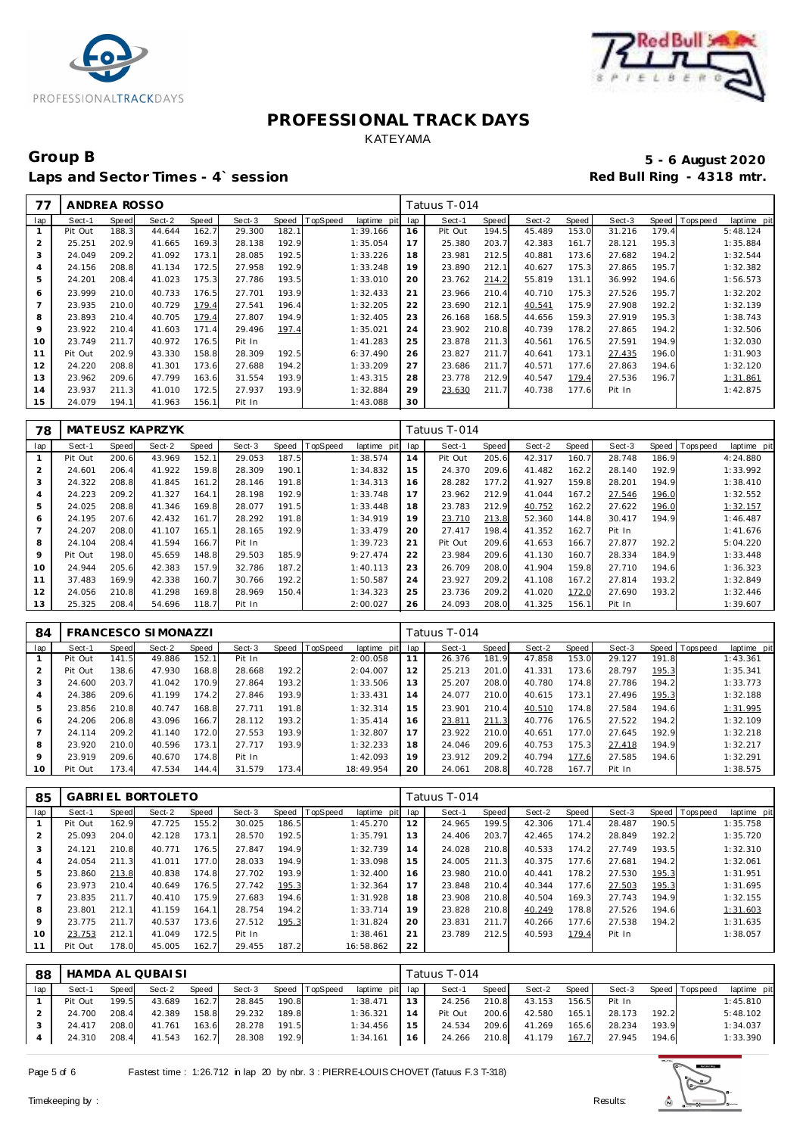



### Group B<br> **Example 2020**<br>
Laps and Sector Times - 4`session<br> **5 - 6 August 2020**<br>
Red Bull Ring - 4318 mtr. Laps and Sector Times - 4`session

| 77             | ANDREA ROSSO |       |        |       |        |              |          |             |     | Tatuus T-014 |       |        |       |        |       |            |             |
|----------------|--------------|-------|--------|-------|--------|--------------|----------|-------------|-----|--------------|-------|--------|-------|--------|-------|------------|-------------|
| lap            | Sect-1       | Speed | Sect-2 | Speed | Sect-3 | <b>Speed</b> | TopSpeed | laptime pit | lap | Sect-1       | Speed | Sect-2 | Speed | Sect-3 | Speed | T ops peed | laptime pit |
|                | Pit Out      | 188.3 | 44.644 | 162.7 | 29.300 | 182.7        |          | 1:39.166    | 16  | Pit Out      | 194.5 | 45.489 | 153.0 | 31.216 | 179.4 |            | 5:48.124    |
| $\overline{2}$ | 25.251       | 202.9 | 41.665 | 169.3 | 28.138 | 192.9        |          | 1:35.054    | 17  | 25.380       | 203.7 | 42.383 | 161.7 | 28.121 | 195.3 |            | 1:35.884    |
| 3              | 24.049       | 209.2 | 41.092 | 173.1 | 28.085 | 192.5        |          | 1:33.226    | 18  | 23.981       | 212.5 | 40.881 | 173.6 | 27.682 | 194.2 |            | 1:32.544    |
| 4              | 24.156       | 208.8 | 41.134 | 172.5 | 27.958 | 192.9        |          | 1:33.248    | 19  | 23.890       | 212.1 | 40.627 | 175.3 | 27.865 | 195.7 |            | 1:32.382    |
| 5              | 24.201       | 208.4 | 41.023 | 175.3 | 27.786 | 193.5        |          | 1:33.010    | 20  | 23.762       | 214.2 | 55.819 | 131.1 | 36.992 | 194.6 |            | 1:56.573    |
| 6              | 23.999       | 210.0 | 40.733 | 176.5 | 27.701 | 193.9        |          | 1:32.433    | 21  | 23.966       | 210.4 | 40.710 | 175.3 | 27.526 | 195.7 |            | 1:32.202    |
| $\overline{7}$ | 23.935       | 210.0 | 40.729 | 179.4 | 27.541 | 196.4        |          | 1:32.205    | 22  | 23.690       | 212.1 | 40.541 | 175.9 | 27.908 | 192.2 |            | 1:32.139    |
| 8              | 23.893       | 210.4 | 40.705 | 179.4 | 27.807 | 194.9        |          | 1:32.405    | 23  | 26.168       | 168.5 | 44.656 | 159.3 | 27.919 | 195.3 |            | 1:38.743    |
| 9              | 23.922       | 210.4 | 41.603 | 171.4 | 29.496 | 197.4        |          | 1:35.021    | 24  | 23.902       | 210.8 | 40.739 | 178.2 | 27.865 | 194.2 |            | 1:32.506    |
| 10             | 23.749       | 211.7 | 40.972 | 176.5 | Pit In |              |          | 1:41.283    | 25  | 23.878       | 211.3 | 40.561 | 176.5 | 27.591 | 194.9 |            | 1:32.030    |
| 11             | Pit Out      | 202.9 | 43.330 | 158.8 | 28.309 | 192.5        |          | 6:37.490    | 26  | 23.827       | 211.7 | 40.641 | 173.1 | 27.435 | 196.0 |            | 1:31.903    |
| 12             | 24.220       | 208.8 | 41.301 | 173.6 | 27.688 | 194.2        |          | 1:33.209    | 27  | 23.686       | 211.7 | 40.571 | 177.6 | 27.863 | 194.6 |            | 1:32.120    |
| 13             | 23.962       | 209.6 | 47.799 | 163.6 | 31.554 | 193.9        |          | 1:43.315    | 28  | 23.778       | 212.9 | 40.547 | 179.4 | 27.536 | 196.7 |            | 1:31.861    |
| 14             | 23.937       | 211.3 | 41.010 | 172.5 | 27.937 | 193.9        |          | 1:32.884    | 29  | 23.630       | 211.7 | 40.738 | 177.6 | Pit In |       |            | 1:42.875    |
| 15             | 24.079       | 194.1 | 41.963 | 156.1 | Pit In |              |          | 1:43.088    | 30  |              |       |        |       |        |       |            |             |

| 78             |         |       | MATEUSZ KAPRZYK |       |        |       |                 |             |     | Tatuus T-014 |       |        |       |        |       |                |             |
|----------------|---------|-------|-----------------|-------|--------|-------|-----------------|-------------|-----|--------------|-------|--------|-------|--------|-------|----------------|-------------|
| lap            | Sect-1  | Speed | Sect-2          | Speed | Sect-3 | Speed | <b>TopSpeed</b> | laptime pit | lap | Sect-1       | Speed | Sect-2 | Speed | Sect-3 |       | Speed Topspeed | laptime pit |
|                | Pit Out | 200.6 | 43.969          | 152.1 | 29.053 | 187.5 |                 | 1:38.574    | 14  | Pit Out      | 205.6 | 42.317 | 160.7 | 28.748 | 186.9 |                | 4:24.880    |
| $\overline{2}$ | 24.601  | 206.4 | 41.922          | 159.8 | 28.309 | 190.1 |                 | 1:34.832    | 15  | 24.370       | 209.6 | 41.482 | 162.2 | 28.140 | 192.9 |                | 1:33.992    |
| 3              | 24.322  | 208.8 | 41.845          | 161.2 | 28.146 | 191.8 |                 | 1:34.313    | 16  | 28.282       | 177.2 | 41.927 | 159.8 | 28.201 | 194.9 |                | 1:38.410    |
| 4              | 24.223  | 209.2 | 41.327          | 164.1 | 28.198 | 192.9 |                 | 1:33.748    | 17  | 23.962       | 212.9 | 41.044 | 167.2 | 27.546 | 196.0 |                | 1:32.552    |
| 5              | 24.025  | 208.8 | 41.346          | 169.8 | 28.077 | 191.5 |                 | 1:33.448    | 18  | 23.783       | 212.9 | 40.752 | 162.2 | 27.622 | 196.0 |                | 1:32.157    |
| 6              | 24.195  | 207.6 | 42.432          | 161.7 | 28.292 | 191.8 |                 | 1:34.919    | 19  | 23.710       | 213.8 | 52.360 | 144.8 | 30.417 | 194.9 |                | 1:46.487    |
|                | 24.207  | 208.0 | 41.107          | 165.1 | 28.165 | 192.9 |                 | 1:33.479    | 20  | 27.417       | 198.4 | 41.352 | 162.7 | Pit In |       |                | 1:41.676    |
| 8              | 24.104  | 208.4 | 41.594          | 166.7 | Pit In |       |                 | 1:39.723    | 21  | Pit Out      | 209.6 | 41.653 | 166.7 | 27.877 | 192.2 |                | 5:04.220    |
| 9              | Pit Out | 198.0 | 45.659          | 148.8 | 29.503 | 185.9 |                 | 9:27.474    | 22  | 23.984       | 209.6 | 41.130 | 160.7 | 28.334 | 184.9 |                | 1:33.448    |
| 10             | 24.944  | 205.6 | 42.383          | 157.9 | 32.786 | 187.2 |                 | 1:40.113    | 23  | 26.709       | 208.0 | 41.904 | 159.8 | 27.710 | 194.6 |                | 1:36.323    |
| 11             | 37.483  | 169.9 | 42.338          | 160.7 | 30.766 | 192.2 |                 | 1:50.587    | 24  | 23.927       | 209.2 | 41.108 | 167.2 | 27.814 | 193.2 |                | 1:32.849    |
| 12             | 24.056  | 210.8 | 41.298          | 169.8 | 28.969 | 150.4 |                 | 1:34.323    | 25  | 23.736       | 209.2 | 41.020 | 172.0 | 27.690 | 193.2 |                | 1:32.446    |
| 13             | 25.325  | 208.4 | 54.696          | 118.7 | Pit In |       |                 | 2:00.027    | 26  | 24.093       | 208.0 | 41.325 | 156.1 | Pit In |       |                | 1:39.607    |

| 84              |         |       | <b>FRANCESCO SIMONAZZI</b> |       |        |       |          |             |     | Tatuus T-014 |       |        |       |        |       |            |             |
|-----------------|---------|-------|----------------------------|-------|--------|-------|----------|-------------|-----|--------------|-------|--------|-------|--------|-------|------------|-------------|
| lap             | Sect-1  | Speed | Sect-2                     | Speed | Sect-3 | Speed | TopSpeed | laptime pit | lap | Sect-1       | Speed | Sect-2 | Speed | Sect-3 | Speed | T ops peed | laptime pit |
|                 | Pit Out | 141.5 | 49.886                     | 152.1 | Pit In |       |          | 2:00.058    | 11  | 26.376       | 181.9 | 47.858 | 153.0 | 29.127 | 191.8 |            | 1:43.361    |
|                 | Pit Out | 138.6 | 47.930                     | 168.8 | 28.668 | 192.2 |          | 2:04.007    | 12  | 25.213       | 201.0 | 41.331 | 173.6 | 28.797 | 195.3 |            | 1:35.341    |
|                 | 24.600  | 203.7 | 41.042                     | 170.9 | 27.864 | 193.2 |          | 1:33.506    | 13  | 25.207       | 208.0 | 40.780 | 174.8 | 27.786 | 194.2 |            | 1:33.773    |
| 4               | 24.386  | 209.6 | 41.199                     | 174.2 | 27.846 | 193.9 |          | 1:33.431    | 14  | 24.077       | 210.0 | 40.615 | 173.1 | 27.496 | 195.3 |            | 1:32.188    |
| 5               | 23.856  | 210.8 | 40.747                     | 168.8 | 27.711 | 191.8 |          | 1:32.314    | 15  | 23.901       | 210.4 | 40.510 | 174.8 | 27.584 | 194.6 |            | 1:31.995    |
| 6               | 24.206  | 206.8 | 43.096                     | 166.7 | 28.112 | 193.2 |          | 1:35.414    | 16  | 23.811       | 211.3 | 40.776 | 176.5 | 27.522 | 194.2 |            | 1:32.109    |
|                 | 24.114  | 209.2 | 41.140                     | 172.0 | 27.553 | 193.9 |          | 1:32.807    | 17  | 23.922       | 210.0 | 40.651 | 177.0 | 27.645 | 192.9 |            | 1:32.218    |
| 8               | 23.920  | 210.0 | 40.596                     | 173.1 | 27.717 | 193.9 |          | 1:32.233    | 18  | 24.046       | 209.6 | 40.753 | 175.3 | 27.418 | 194.9 |            | 1:32.217    |
| 9               | 23.919  | 209.6 | 40.670                     | 174.8 | Pit In |       |          | 1:42.093    | 19  | 23.912       | 209.2 | 40.794 | 177.6 | 27.585 | 194.6 |            | 1:32.291    |
| 10 <sup>°</sup> | Pit Out | 173.4 | 47.534                     | 144.4 | 31.579 | 173.4 |          | 18:49.954   | 20  | 24.061       | 208.8 | 40.728 | 167.7 | Pit In |       |            | 1:38.575    |

| 85             |         |       | <b>GABRIEL BORTOLETO</b> |       |        |       |          |             |     | Tatuus T-014 |       |        |       |        |       |                 |             |
|----------------|---------|-------|--------------------------|-------|--------|-------|----------|-------------|-----|--------------|-------|--------|-------|--------|-------|-----------------|-------------|
| lap            | Sect-1  | Speed | Sect-2                   | Speed | Sect-3 | Speed | TopSpeed | laptime pit | lap | Sect-1       | Speed | Sect-2 | Speed | Sect-3 |       | Speed Tops peed | laptime pit |
|                | Pit Out | 162.9 | 47.725                   | 155.2 | 30.025 | 186.5 |          | 1:45.270    | 12  | 24.965       | 199.5 | 42.306 | 171.4 | 28.487 | 190.5 |                 | 1:35.758    |
| $\overline{2}$ | 25.093  | 204.0 | 42.128                   | 173.1 | 28.570 | 192.5 |          | 1:35.791    | 13  | 24.406       | 203.7 | 42.465 | 174.2 | 28.849 | 192.2 |                 | 1:35.720    |
| 3              | 24.121  | 210.8 | 40.771                   | 176.5 | 27.847 | 194.9 |          | 1:32.739    | 14  | 24.028       | 210.8 | 40.533 | 174.2 | 27.749 | 193.5 |                 | 1:32.310    |
| $\overline{A}$ | 24.054  | 211.3 | 41.011                   | 177.0 | 28.033 | 194.9 |          | 1:33.098    | 15  | 24.005       | 211.3 | 40.375 | 177.6 | 27.681 | 194.2 |                 | 1:32.061    |
| 5              | 23.860  | 213.8 | 40.838                   | 174.8 | 27.702 | 193.9 |          | 1:32.400    | 16  | 23.980       | 210.0 | 40.441 | 178.2 | 27.530 | 195.3 |                 | 1:31.951    |
| 6              | 23.973  | 210.4 | 40.649                   | 176.5 | 27.742 | 195.3 |          | 1:32.364    | 17  | 23.848       | 210.4 | 40.344 | 177.6 | 27.503 | 195.3 |                 | 1:31.695    |
| -              | 23.835  | 211.7 | 40.410                   | 175.9 | 27.683 | 194.6 |          | 1:31.928    | 18  | 23.908       | 210.8 | 40.504 | 169.3 | 27.743 | 194.9 |                 | 1:32.155    |
| 8              | 23.801  | 212.1 | 41.159                   | 164.1 | 28.754 | 194.2 |          | 1:33.714    | 19  | 23.828       | 210.8 | 40.249 | 178.8 | 27.526 | 194.6 |                 | 1:31.603    |
| $\circ$        | 23.775  | 211.7 | 40.537                   | 173.6 | 27.512 | 195.3 |          | 1:31.824    | 20  | 23.831       | 211.7 | 40.266 | 177.6 | 27.538 | 194.2 |                 | 1:31.635    |
| 10             | 23.753  | 212.1 | 41.049                   | 172.5 | Pit In |       |          | 1:38.461    | 21  | 23.789       | 212.5 | 40.593 | 179.4 | Pit In |       |                 | 1:38.057    |
| 11             | Pit Out | 178.0 | 45.005                   | 162.7 | 29.455 | 187.2 |          | 16:58.862   | 22  |              |       |        |       |        |       |                 |             |

| 88  | HAMDA AL QUBAISI |       |        |       |        |       |                |                 |    | Tatuus T-014 |       |        |       |        |       |                 |             |  |  |
|-----|------------------|-------|--------|-------|--------|-------|----------------|-----------------|----|--------------|-------|--------|-------|--------|-------|-----------------|-------------|--|--|
| lap | Sect-1           | Speed | Sect-2 | Speed | Sect-3 |       | Speed TopSpeed | laptime pit lap |    | Sect-1       | Speed | Sect-2 | Speed | Sect-3 |       | Speed Tops peed | laptime pit |  |  |
|     | Pit Out          | 199.5 | 43.689 | 162.7 | 28.845 | 190.8 |                | 1:38.471        | 13 | 24.256       | 210.8 | 43.153 | 156.5 | Pit In |       |                 | 1:45.810    |  |  |
|     | 24.700           | 208.4 | 42.389 | 158.8 | 29.232 | 189.8 |                | 1:36.321        | 14 | Pit Out      | 200.6 | 42.580 | 165.1 | 28.173 | 192.2 |                 | 5:48.102    |  |  |
|     | 24.417           | 208.0 | 41.761 | 163.6 | 28.278 | 191.5 |                | 1:34.456        | 15 | 24.534       | 209.6 | 41.269 | 165.6 | 28.234 | 193.9 |                 | 1:34.037    |  |  |
|     | 24.310           | 208.4 | 41.543 | 162.7 | 28.308 | 192.9 |                | 1:34.161        | 16 | 24.266       | 210.8 | 41.179 | 167.7 | 27.945 | 194.6 |                 | 1:33.390    |  |  |